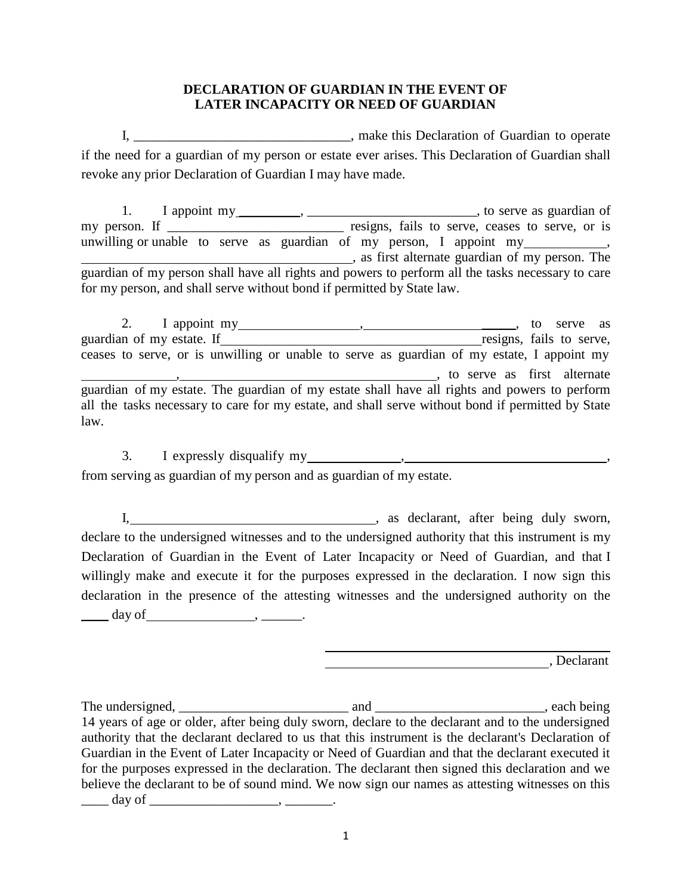## **DECLARATION OF GUARDIAN IN THE EVENT OF LATER INCAPACITY OR NEED OF GUARDIAN**

I, \_\_\_\_\_\_\_\_\_\_\_\_\_\_\_\_\_\_\_\_\_\_\_\_\_\_\_\_, make this Declaration of Guardian to operate if the need for a guardian of my person or estate ever arises. This Declaration of Guardian shall revoke any prior Declaration of Guardian I may have made.

1. I appoint my \_\_\_\_\_\_\_\_, \_\_\_\_\_\_\_\_\_\_\_\_\_\_\_\_\_\_\_\_\_\_\_\_, to serve as guardian of my person. If \_\_\_\_\_\_\_\_\_\_\_\_\_\_\_\_\_\_\_\_\_\_\_\_\_ resigns, fails to serve, ceases to serve, or is unwilling or unable to serve as guardian of my person, I appoint my **Example 2**, as first alternate guardian of my person. The guardian of my person shall have all rights and powers to perform all the tasks necessary to care for my person, and shall serve without bond if permitted by State law.

2. I appoint my , \_\_\_\_\_, to serve as guardian of my estate. If resigns, fails to serve, ceases to serve, or is unwilling or unable to serve as guardian of my estate, I appoint my , , to serve as first alternate guardian of my estate. The guardian of my estate shall have all rights and powers to perform all the tasks necessary to care for my estate, and shall serve without bond if permitted by State law.

3. I expressly disqualify my , ,

from serving as guardian of my person and as guardian of my estate.

I, 1. 2003, 1. All and the summary contract the set of the set of the sworn, after being duly sworn, declare to the undersigned witnesses and to the undersigned authority that this instrument is my Declaration of Guardian in the Event of Later Incapacity or Need of Guardian, and that I willingly make and execute it for the purposes expressed in the declaration. I now sign this declaration in the presence of the attesting witnesses and the undersigned authority on the  $\frac{day \text{ of } , \qquad \cdots, \qquad \cdots \qquad \cdots$ 

, Declarant , Declarant

The undersigned, \_\_\_\_\_\_\_\_\_\_\_\_\_\_\_\_\_\_\_\_\_\_\_\_\_ and \_\_\_\_\_\_\_\_\_\_\_\_\_\_\_\_\_\_\_\_\_\_\_\_\_, each being 14 years of age or older, after being duly sworn, declare to the declarant and to the undersigned authority that the declarant declared to us that this instrument is the declarant's Declaration of Guardian in the Event of Later Incapacity or Need of Guardian and that the declarant executed it for the purposes expressed in the declaration. The declarant then signed this declaration and we believe the declarant to be of sound mind. We now sign our names as attesting witnesses on this  $\frac{1}{\sqrt{2\pi}} \text{ day of } \frac{1}{\sqrt{2\pi}}$